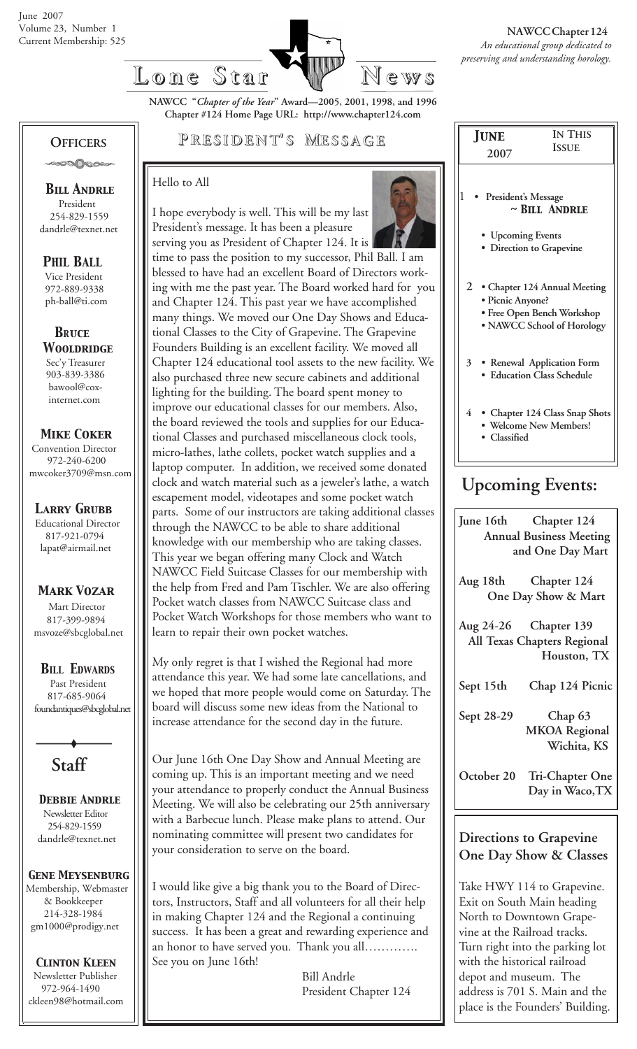

**NAWCC "***Chapter of the Year***" Award—2005, 2001, 1998, and 1996 Chapter #124 Home Page URL: http://www.chapter124.com**

#### **OFFICERS**

**CONNACC-**

 *Bill Andrle* President 254-829-1559 dandrle@texnet.net

 *PHIL BALL* Vice President 972-889-9338 ph-ball@ti.com

 *BRuce Wooldridge* Sec'y Treasurer 903-839-3386 bawool@cox internet.com

 *Mike Coker* Convention Director 972-240-6200 mwcoker3709@msn.com

*Larry Grubb* Educational Director 817-921-0794 lapat@airmail.net

 *Mark Vozar* Mart Director 817-399-9894 msvoze@sbcglobal.net

*BILL EDWARDS* Past President

 817-685-9064 foundantiques@sbcglobal.net

**Staff**

 *Debbie Andrle* Newsletter Editor 254-829-1559 dandrle@texnet.net

*Gene Meysenburg* Membership, Webmaster

 & Bookkeeper 214-328-1984 gm1000@prodigy.net

 *Clinton Kleen* Newsletter Publisher 972-964-1490 ckleen98@hotmail.com

### **P RESIDENT RESIDENT' S M ESSAGE**

I hope everybody is well. This will be my last

#### Hello to All



President's message. It has been a pleasure serving you as President of Chapter 124. It is time to pass the position to my successor, Phil Ball. I am blessed to have had an excellent Board of Directors working with me the past year. The Board worked hard for you and Chapter 124. This past year we have accomplished many things. We moved our One Day Shows and Educational Classes to the City of Grapevine. The Grapevine Founders Building is an excellent facility. We moved all Chapter 124 educational tool assets to the new facility. We also purchased three new secure cabinets and additional lighting for the building. The board spent money to improve our educational classes for our members. Also, the board reviewed the tools and supplies for our Educational Classes and purchased miscellaneous clock tools, micro-lathes, lathe collets, pocket watch supplies and a laptop computer. In addition, we received some donated clock and watch material such as a jeweler's lathe, a watch escapement model, videotapes and some pocket watch parts. Some of our instructors are taking additional classes through the NAWCC to be able to share additional knowledge with our membership who are taking classes. This year we began offering many Clock and Watch NAWCC Field Suitcase Classes for our membership with the help from Fred and Pam Tischler. We are also offering Pocket watch classes from NAWCC Suitcase class and Pocket Watch Workshops for those members who want to learn to repair their own pocket watches.

My only regret is that I wished the Regional had more attendance this year. We had some late cancellations, and we hoped that more people would come on Saturday. The board will discuss some new ideas from the National to increase attendance for the second day in the future.

Our June 16th One Day Show and Annual Meeting are coming up. This is an important meeting and we need your attendance to properly conduct the Annual Business Meeting. We will also be celebrating our 25th anniversary with a Barbecue lunch. Please make plans to attend. Our nominating committee will present two candidates for your consideration to serve on the board.

I would like give a big thank you to the Board of Directors, Instructors, Staff and all volunteers for all their help in making Chapter 124 and the Regional a continuing success. It has been a great and rewarding experience and an honor to have served you. Thank you all…………. See you on June 16th!

> Bill Andrle President Chapter 124

| <b>JUNE</b>              | <b>IN THIS</b>                                                |  |  |
|--------------------------|---------------------------------------------------------------|--|--|
| 2007                     | <b>ISSUE</b>                                                  |  |  |
| 1<br>President's Message | $\sim$ BILL ANDRLE                                            |  |  |
| • Upcoming Events        |                                                               |  |  |
|                          | · Direction to Grapevine                                      |  |  |
|                          | 2 • Chapter 124 Annual Meeting                                |  |  |
| · Picnic Anyone?         |                                                               |  |  |
|                          | • Free Open Bench Workshop<br>· NAWCC School of Horology      |  |  |
| 3 <sup>1</sup>           | • Renewal Application Form<br><b>Education Class Schedule</b> |  |  |
| • Classified             | 4 • Chapter 124 Class Snap Shots<br>• Welcome New Members!    |  |  |
| <b>Upcoming Events:</b>  |                                                               |  |  |

| June 16th<br>Chapter 124<br><b>Annual Business Meeting</b><br>and One Day Mart |                                                                     |  |  |  |
|--------------------------------------------------------------------------------|---------------------------------------------------------------------|--|--|--|
| Aug 18th                                                                       | Chapter 124<br>One Day Show & Mart                                  |  |  |  |
|                                                                                | Aug 24-26 Chapter 139<br>All Texas Chapters Regional<br>Houston, TX |  |  |  |
| Sept 15th                                                                      | Chap 124 Picnic                                                     |  |  |  |
| Sept 28-29                                                                     | Chap <sub>63</sub><br><b>MKOA Regional</b><br>Wichita, KS           |  |  |  |
| October 20                                                                     | Tri-Chapter One<br>Day in Waco, TX                                  |  |  |  |

#### **Directions to Grapevine One Day Show & Classes**

Take HWY 114 to Grapevine. Exit on South Main heading North to Downtown Grapevine at the Railroad tracks. Turn right into the parking lot with the historical railroad depot and museum. The address is 701 S. Main and the place is the Founders' Building.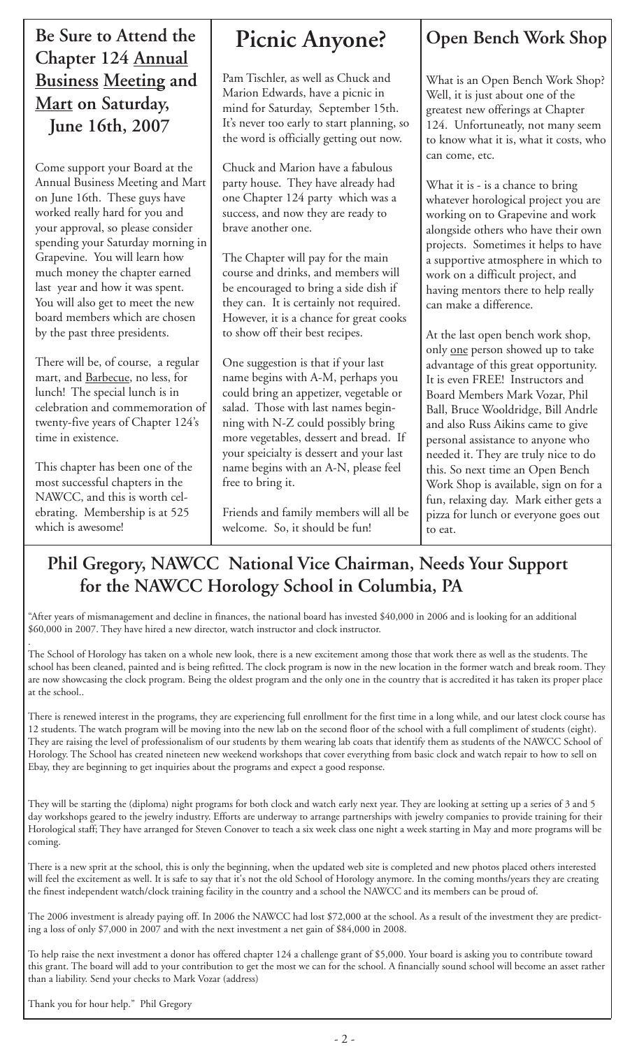**Be Sure to Attend the Chapter 124 Annual Business Meeting and Mart on Saturday, June 16th, 2007**

Come support your Board at the Annual Business Meeting and Mart on June 16th. These guys have worked really hard for you and your approval, so please consider spending your Saturday morning in Grapevine. You will learn how much money the chapter earned last year and how it was spent. You will also get to meet the new board members which are chosen by the past three presidents.

There will be, of course, a regular mart, and Barbecue, no less, for lunch! The special lunch is in celebration and commemoration of twenty-five years of Chapter 124's time in existence.

This chapter has been one of the most successful chapters in the NAWCC, and this is worth celebrating. Membership is at 525 which is awesome!

## **Picnic Anyone?**

Pam Tischler, as well as Chuck and Marion Edwards, have a picnic in mind for Saturday, September 15th. It's never too early to start planning, so the word is officially getting out now.

Chuck and Marion have a fabulous party house. They have already had one Chapter 124 party which was a success, and now they are ready to brave another one.

The Chapter will pay for the main course and drinks, and members will be encouraged to bring a side dish if they can. It is certainly not required. However, it is a chance for great cooks to show off their best recipes.

One suggestion is that if your last name begins with A-M, perhaps you could bring an appetizer, vegetable or salad. Those with last names beginning with N-Z could possibly bring more vegetables, dessert and bread. If your speicialty is dessert and your last name begins with an A-N, please feel free to bring it.

Friends and family members will all be welcome. So, it should be fun!

### **Open Bench Work Shop**

What is an Open Bench Work Shop? Well, it is just about one of the greatest new offerings at Chapter 124. Unfortuneatly, not many seem to know what it is, what it costs, who can come, etc.

What it is - is a chance to bring whatever horological project you are working on to Grapevine and work alongside others who have their own projects. Sometimes it helps to have a supportive atmosphere in which to work on a difficult project, and having mentors there to help really can make a difference.

At the last open bench work shop, only one person showed up to take advantage of this great opportunity. It is even FREE! Instructors and Board Members Mark Vozar, Phil Ball, Bruce Wooldridge, Bill Andrle and also Russ Aikins came to give personal assistance to anyone who needed it. They are truly nice to do this. So next time an Open Bench Work Shop is available, sign on for a fun, relaxing day. Mark either gets a pizza for lunch or everyone goes out to eat.

### **Phil Gregory, NAWCC National Vice Chairman, Needs Your Support for the NAWCC Horology School in Columbia, PA**

"After years of mismanagement and decline in finances, the national board has invested \$40,000 in 2006 and is looking for an additional \$60,000 in 2007. They have hired a new director, watch instructor and clock instructor.

. The School of Horology has taken on a whole new look, there is a new excitement among those that work there as well as the students. The school has been cleaned, painted and is being refitted. The clock program is now in the new location in the former watch and break room. They are now showcasing the clock program. Being the oldest program and the only one in the country that is accredited it has taken its proper place at the school..

There is renewed interest in the programs, they are experiencing full enrollment for the first time in a long while, and our latest clock course has 12 students. The watch program will be moving into the new lab on the second floor of the school with a full compliment of students (eight). They are raising the level of professionalism of our students by them wearing lab coats that identify them as students of the NAWCC School of Horology. The School has created nineteen new weekend workshops that cover everything from basic clock and watch repair to how to sell on Ebay, they are beginning to get inquiries about the programs and expect a good response.

They will be starting the (diploma) night programs for both clock and watch early next year. They are looking at setting up a series of 3 and 5 day workshops geared to the jewelry industry. Efforts are underway to arrange partnerships with jewelry companies to provide training for their Horological staff; They have arranged for Steven Conover to teach a six week class one night a week starting in May and more programs will be coming.

There is a new sprit at the school, this is only the beginning, when the updated web site is completed and new photos placed others interested will feel the excitement as well. It is safe to say that it's not the old School of Horology anymore. In the coming months/years they are creating the finest independent watch/clock training facility in the country and a school the NAWCC and its members can be proud of.

The 2006 investment is already paying off. In 2006 the NAWCC had lost \$72,000 at the school. As a result of the investment they are predicting a loss of only \$7,000 in 2007 and with the next investment a net gain of \$84,000 in 2008.

To help raise the next investment a donor has offered chapter 124 a challenge grant of \$5,000. Your board is asking you to contribute toward this grant. The board will add to your contribution to get the most we can for the school. A financially sound school will become an asset rather than a liability. Send your checks to Mark Vozar (address)

Thank you for hour help." Phil Gregory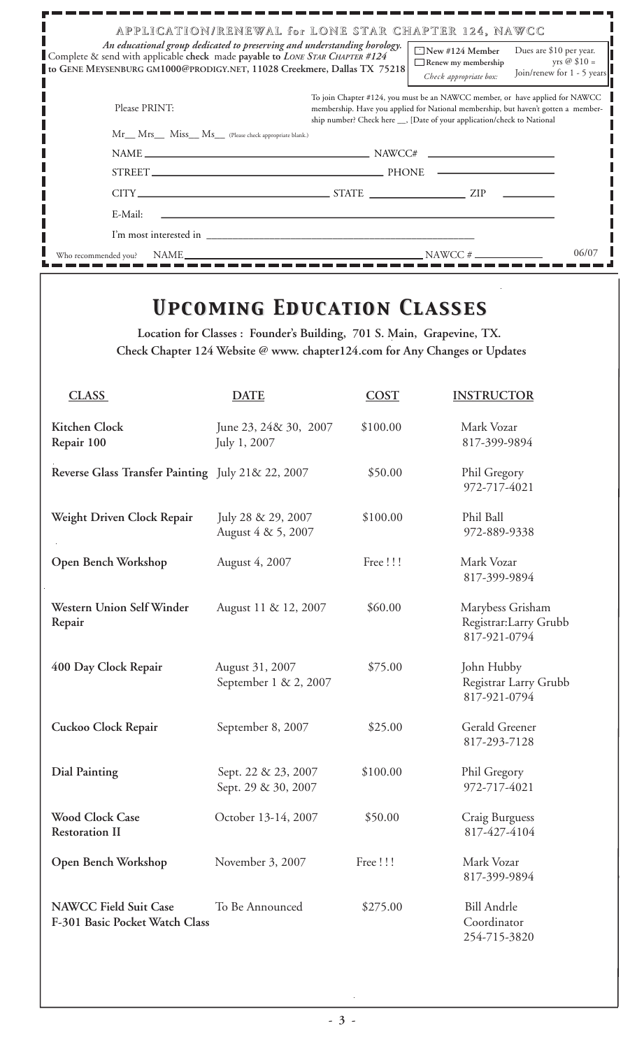| APPLICATION/RENEWAL for LONE STAR CHAPTER 124, NAWCC                                                                                                                                                                                |                                                                                                                                                                                                                                                |                                                                                |                                                                               |  |  |
|-------------------------------------------------------------------------------------------------------------------------------------------------------------------------------------------------------------------------------------|------------------------------------------------------------------------------------------------------------------------------------------------------------------------------------------------------------------------------------------------|--------------------------------------------------------------------------------|-------------------------------------------------------------------------------|--|--|
| An educational group dedicated to preserving and understanding horology.<br>Complete & send with applicable check made payable to LONE STAR CHAPTER #124<br>to GENE MEYSENBURG GM1000@PRODIGY.NET, 11028 Creekmere, Dallas TX 75218 |                                                                                                                                                                                                                                                | $\Box$ New #124 Member<br>$\Box$ Renew my membership<br>Check appropriate box: | Dues are \$10 per year.<br>yrs $\oslash$ \$10 =<br>Join/renew for 1 - 5 years |  |  |
| Please PRINT:                                                                                                                                                                                                                       | To join Chapter #124, you must be an NAWCC member, or have applied for NAWCC<br>membership. Have you applied for National membership, but haven't gotten a member-<br>ship number? Check here ___, [Date of your application/check to National |                                                                                |                                                                               |  |  |
| Mr__ Mrs__ Miss__ Ms__ (Please check appropriate blank.)                                                                                                                                                                            |                                                                                                                                                                                                                                                |                                                                                |                                                                               |  |  |
|                                                                                                                                                                                                                                     | $NAME \_\_\_\_\_\_\_$                                                                                                                                                                                                                          |                                                                                |                                                                               |  |  |
|                                                                                                                                                                                                                                     |                                                                                                                                                                                                                                                |                                                                                |                                                                               |  |  |
|                                                                                                                                                                                                                                     |                                                                                                                                                                                                                                                |                                                                                |                                                                               |  |  |
| E-Mail:                                                                                                                                                                                                                             |                                                                                                                                                                                                                                                |                                                                                |                                                                               |  |  |
|                                                                                                                                                                                                                                     |                                                                                                                                                                                                                                                |                                                                                |                                                                               |  |  |
| $NAME$ $NANCE #$ $\longrightarrow$<br>Who recommended you?                                                                                                                                                                          |                                                                                                                                                                                                                                                |                                                                                | 06/07                                                                         |  |  |

### *Upcoming Education Classes Upcoming Education Classes*

**Location for Classes : Founder's Building, 701 S. Main, Grapevine, TX. Check Chapter 124 Website @ www. chapter124.com for Any Changes or Updates**

| <b>CLASS</b>                                                   | <b>DATE</b>                                | <b>COST</b> | <b>INSTRUCTOR</b>                                         |
|----------------------------------------------------------------|--------------------------------------------|-------------|-----------------------------------------------------------|
| <b>Kitchen Clock</b><br>Repair 100                             | June 23, 24& 30, 2007<br>July 1, 2007      | \$100.00    | Mark Vozar<br>817-399-9894                                |
| Reverse Glass Transfer Painting July 21& 22, 2007              |                                            | \$50.00     | Phil Gregory<br>972-717-4021                              |
| Weight Driven Clock Repair                                     | July 28 & 29, 2007<br>August 4 & 5, 2007   | \$100.00    | Phil Ball<br>972-889-9338                                 |
| Open Bench Workshop                                            | August 4, 2007                             | Free !!!    | Mark Vozar<br>817-399-9894                                |
| Western Union Self Winder<br>Repair                            | August 11 & 12, 2007                       | \$60.00     | Marybess Grisham<br>Registrar:Larry Grubb<br>817-921-0794 |
| 400 Day Clock Repair                                           | August 31, 2007<br>September 1 & 2, 2007   | \$75.00     | John Hubby<br>Registrar Larry Grubb<br>817-921-0794       |
| Cuckoo Clock Repair                                            | September 8, 2007                          | \$25.00     | Gerald Greener<br>817-293-7128                            |
| <b>Dial Painting</b>                                           | Sept. 22 & 23, 2007<br>Sept. 29 & 30, 2007 | \$100.00    | Phil Gregory<br>972-717-4021                              |
| <b>Wood Clock Case</b><br><b>Restoration II</b>                | October 13-14, 2007                        | \$50.00     | Craig Burguess<br>817-427-4104                            |
| Open Bench Workshop                                            | November 3, 2007                           | Free!!!     | Mark Vozar<br>817-399-9894                                |
| <b>NAWCC Field Suit Case</b><br>F-301 Basic Pocket Watch Class | To Be Announced                            | \$275.00    | <b>Bill Andrle</b><br>Coordinator<br>254-715-3820         |